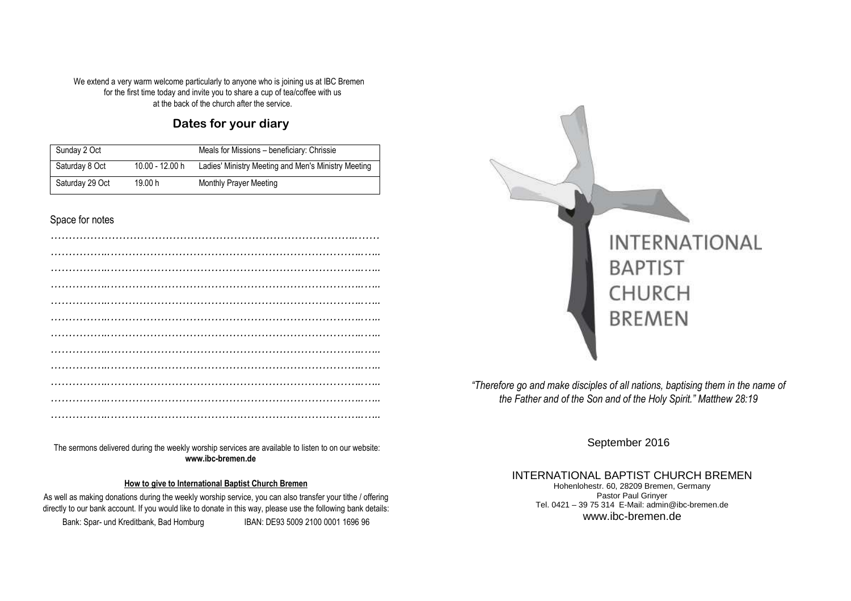We extend a very warm welcome particularly to anyone who is joining us at IBC Bremen for the first time today and invite you to share a cup of tea/coffee with us at the back of the church after the service.

## **Dates for your diary**

| Sunday 2 Oct    |                 | Meals for Missions - beneficiary: Chrissie          |
|-----------------|-----------------|-----------------------------------------------------|
| Saturday 8 Oct  | 10.00 - 12.00 h | Ladies' Ministry Meeting and Men's Ministry Meeting |
| Saturday 29 Oct | 19.00 h         | Monthly Prayer Meeting                              |

### Space for notes

*………………………………………………………………………………….……*  The sermons delivered during the weekly worship services are available to listen to on our website: **www.ibc-bremen.de**

#### **How to give to International Baptist Church Bremen**

directly to our bank account. If you would like to donate in this way, please use the following bank details:<br> **DRALLERS FOR 5000 0004 4000 00**  As well as making donations during the weekly worship service, you can also transfer your tithe / offering Bank: Spar- und Kreditbank, Bad Homburg IBAN: DE93 5009 2100 0001 1696 96



*"Therefore go and make disciples of all nations, baptising them in the name of the Father and of the Son and of the Holy Spirit." Matthew 28:19* 

September 2016

INTERNATIONAL BAPTIST CHURCH BREMENHohenlohestr. 60, 28209 Bremen, Germany Pastor Paul Grinyer Tel. 0421 – 39 75 314 E-Mail: admin@ibc-bremen.de www.ibc-bremen.de